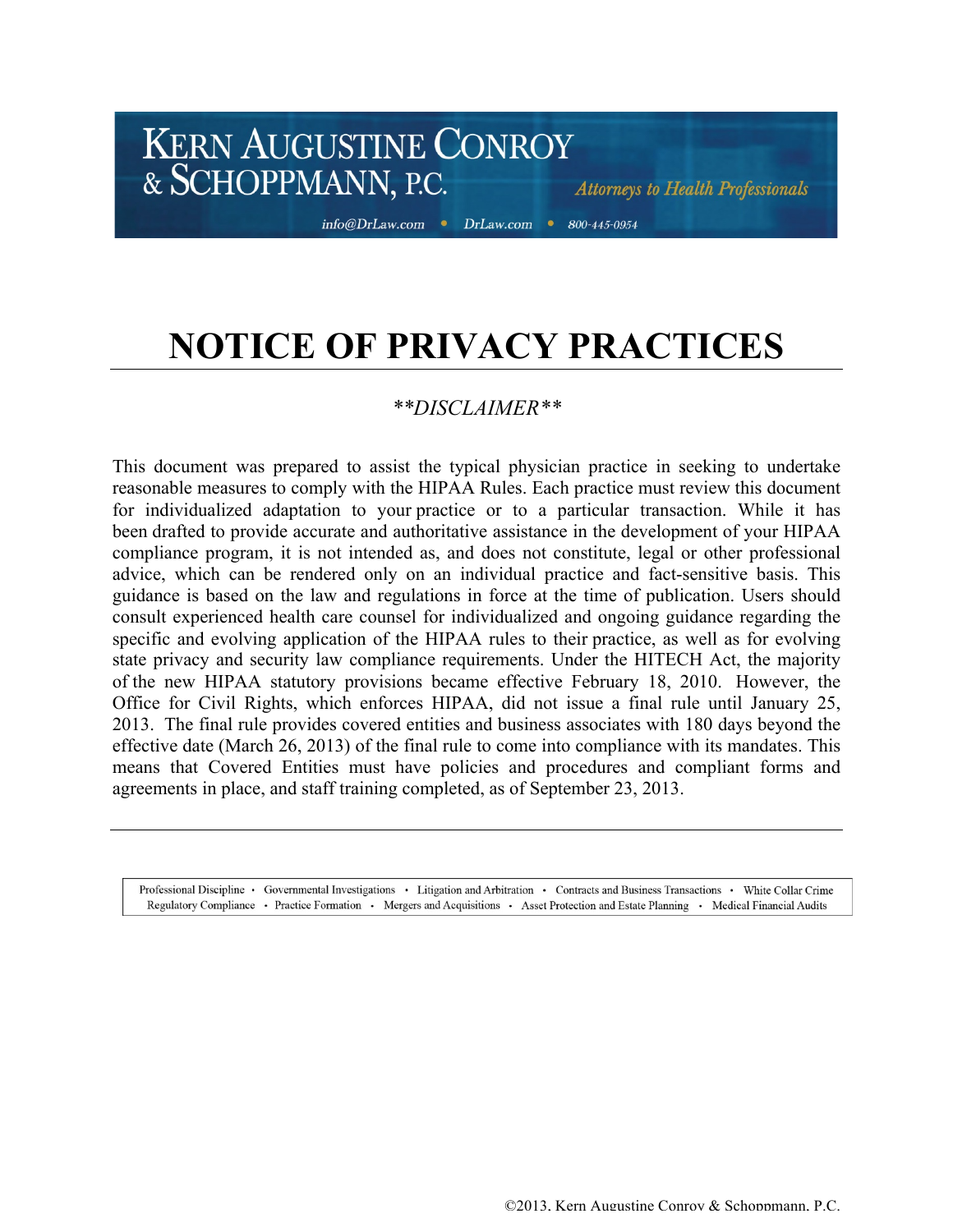info@DrLaw.com • DrLaw.com • 800-445-0954

**Attorneys to Health Professionals** 

## **NOTICE OF PRIVACY PRACTICES**

## *\*\*DISCLAIMER\*\**

This document was prepared to assist the typical physician practice in seeking to undertake reasonable measures to comply with the HIPAA Rules. Each practice must review this document for individualized adaptation to your practice or to a particular transaction. While it has been drafted to provide accurate and authoritative assistance in the development of your HIPAA compliance program, it is not intended as, and does not constitute, legal or other professional advice, which can be rendered only on an individual practice and fact-sensitive basis. This guidance is based on the law and regulations in force at the time of publication. Users should consult experienced health care counsel for individualized and ongoing guidance regarding the specific and evolving application of the HIPAA rules to their practice, as well as for evolving state privacy and security law compliance requirements. Under the HITECH Act, the majority of the new HIPAA statutory provisions became effective February 18, 2010. However, the Office for Civil Rights, which enforces HIPAA, did not issue a final rule until January 25, 2013. The final rule provides covered entities and business associates with 180 days beyond the effective date (March 26, 2013) of the final rule to come into compliance with its mandates. This means that Covered Entities must have policies and procedures and compliant forms and agreements in place, and staff training completed, as of September 23, 2013.

Professional Discipline · Governmental Investigations · Litigation and Arbitration · Contracts and Business Transactions · White Collar Crime Regulatory Compliance • Practice Formation • Mergers and Acquisitions • Asset Protection and Estate Planning • Medical Financial Audits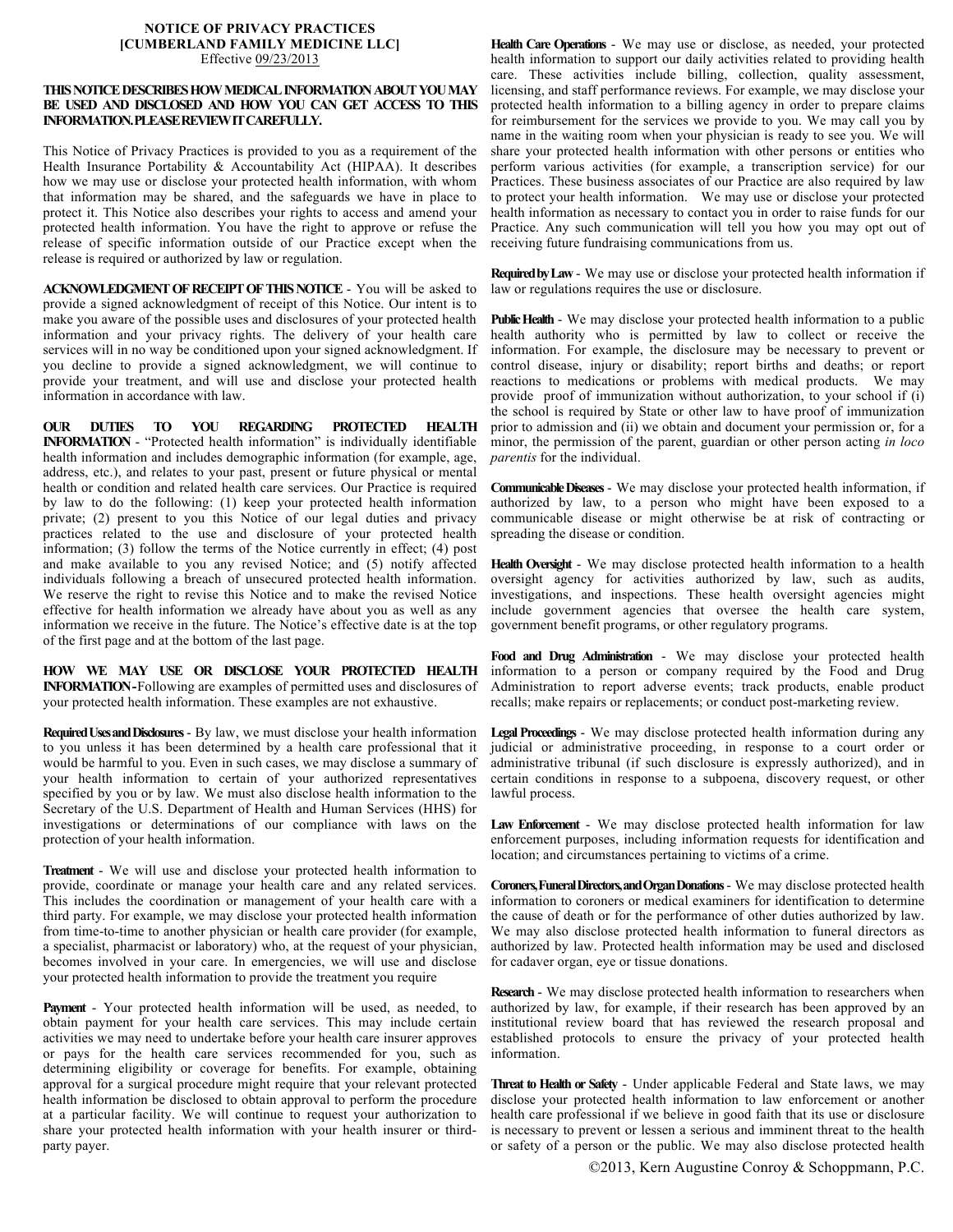## **NOTICE OF PRIVACY PRACTICES [CUMBERLAND FAMILY MEDICINE LLC]** Effective 09/23/2013

## **THIS NOTICEDESCRIBES HOW MEDICAL INFORMATION ABOUT YOU MAY BE USED AND DISCLOSED AND HOW YOU CAN GET ACCESS TO THIS INFORMATION.PLEASE REVIEW IT CAREFULLY.**

This Notice of Privacy Practices is provided to you as a requirement of the Health Insurance Portability & Accountability Act (HIPAA). It describes how we may use or disclose your protected health information, with whom that information may be shared, and the safeguards we have in place to protect it. This Notice also describes your rights to access and amend your protected health information. You have the right to approve or refuse the release of specific information outside of our Practice except when the release is required or authorized by law or regulation.

**ACKNOWLEDGMENT OF RECEIPT OF THIS NOTICE** - You will be asked to provide a signed acknowledgment of receipt of this Notice. Our intent is to make you aware of the possible uses and disclosures of your protected health information and your privacy rights. The delivery of your health care services will in no way be conditioned upon your signed acknowledgment. If you decline to provide a signed acknowledgment, we will continue to provide your treatment, and will use and disclose your protected health information in accordance with law.

**OUR DUTIES TO YOU REGARDING PROTECTED HEALTH INFORMATION** - "Protected health information" is individually identifiable health information and includes demographic information (for example, age, address, etc.), and relates to your past, present or future physical or mental health or condition and related health care services. Our Practice is required by law to do the following: (1) keep your protected health information private; (2) present to you this Notice of our legal duties and privacy practices related to the use and disclosure of your protected health information; (3) follow the terms of the Notice currently in effect; (4) post and make available to you any revised Notice; and (5) notify affected individuals following a breach of unsecured protected health information. We reserve the right to revise this Notice and to make the revised Notice effective for health information we already have about you as well as any information we receive in the future. The Notice's effective date is at the top of the first page and at the bottom of the last page.

**HOW WE MAY USE OR DISCLOSE YOUR PROTECTED HEALTH INFORMATION -**Following are examples of permitted uses and disclosures of your protected health information. These examples are not exhaustive.

**Required Uses and Disclosures**- By law, we must disclose your health information to you unless it has been determined by a health care professional that it would be harmful to you. Even in such cases, we may disclose a summary of your health information to certain of your authorized representatives specified by you or by law. We must also disclose health information to the Secretary of the U.S. Department of Health and Human Services (HHS) for investigations or determinations of our compliance with laws on the protection of your health information.

**Treatment** - We will use and disclose your protected health information to provide, coordinate or manage your health care and any related services. This includes the coordination or management of your health care with a third party. For example, we may disclose your protected health information from time-to-time to another physician or health care provider (for example, a specialist, pharmacist or laboratory) who, at the request of your physician, becomes involved in your care. In emergencies, we will use and disclose your protected health information to provide the treatment you require

**Payment** - Your protected health information will be used, as needed, to obtain payment for your health care services. This may include certain activities we may need to undertake before your health care insurer approves or pays for the health care services recommended for you, such as determining eligibility or coverage for benefits. For example, obtaining approval for a surgical procedure might require that your relevant protected health information be disclosed to obtain approval to perform the procedure at a particular facility. We will continue to request your authorization to share your protected health information with your health insurer or thirdparty payer.

**Health Care Operations** - We may use or disclose, as needed, your protected health information to support our daily activities related to providing health care. These activities include billing, collection, quality assessment, licensing, and staff performance reviews. For example, we may disclose your protected health information to a billing agency in order to prepare claims for reimbursement for the services we provide to you. We may call you by name in the waiting room when your physician is ready to see you. We will share your protected health information with other persons or entities who perform various activities (for example, a transcription service) for our Practices. These business associates of our Practice are also required by law to protect your health information. We may use or disclose your protected health information as necessary to contact you in order to raise funds for our Practice. Any such communication will tell you how you may opt out of receiving future fundraising communications from us.

**Required by Law** - We may use or disclose your protected health information if law or regulations requires the use or disclosure.

**Public Health** - We may disclose your protected health information to a public health authority who is permitted by law to collect or receive the information. For example, the disclosure may be necessary to prevent or control disease, injury or disability; report births and deaths; or report reactions to medications or problems with medical products. We may provide proof of immunization without authorization, to your school if (i) the school is required by State or other law to have proof of immunization prior to admission and (ii) we obtain and document your permission or, for a minor, the permission of the parent, guardian or other person acting *in loco parentis* for the individual.

**Communicable Diseases** - We may disclose your protected health information, if authorized by law, to a person who might have been exposed to a communicable disease or might otherwise be at risk of contracting or spreading the disease or condition.

**Health Oversight** - We may disclose protected health information to a health oversight agency for activities authorized by law, such as audits, investigations, and inspections. These health oversight agencies might include government agencies that oversee the health care system, government benefit programs, or other regulatory programs.

**Food and Drug Administration** - We may disclose your protected health information to a person or company required by the Food and Drug Administration to report adverse events; track products, enable product recalls; make repairs or replacements; or conduct post-marketing review.

**Legal Proceedings** - We may disclose protected health information during any judicial or administrative proceeding, in response to a court order or administrative tribunal (if such disclosure is expressly authorized), and in certain conditions in response to a subpoena, discovery request, or other lawful process.

**Law Enforcement** - We may disclose protected health information for law enforcement purposes, including information requests for identification and location; and circumstances pertaining to victims of a crime.

**Coroners, Funeral Directors, and Organ Donations**- We may disclose protected health information to coroners or medical examiners for identification to determine the cause of death or for the performance of other duties authorized by law. We may also disclose protected health information to funeral directors as authorized by law. Protected health information may be used and disclosed for cadaver organ, eye or tissue donations.

**Research** - We may disclose protected health information to researchers when authorized by law, for example, if their research has been approved by an institutional review board that has reviewed the research proposal and established protocols to ensure the privacy of your protected health information.

**Threat to Health or Safety** - Under applicable Federal and State laws, we may disclose your protected health information to law enforcement or another health care professional if we believe in good faith that its use or disclosure is necessary to prevent or lessen a serious and imminent threat to the health or safety of a person or the public. We may also disclose protected health

©2013, Kern Augustine Conroy & Schoppmann, P.C.